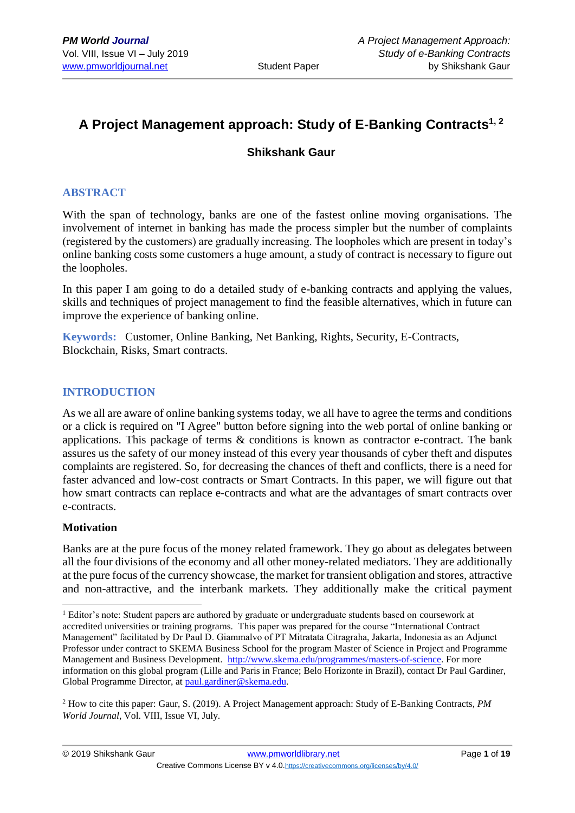# **A Project Management approach: Study of E-Banking Contracts1, 2**

# **Shikshank Gaur**

#### **ABSTRACT**

With the span of technology, banks are one of the fastest online moving organisations. The involvement of internet in banking has made the process simpler but the number of complaints (registered by the customers) are gradually increasing. The loopholes which are present in today's online banking costs some customers a huge amount, a study of contract is necessary to figure out the loopholes.

In this paper I am going to do a detailed study of e-banking contracts and applying the values, skills and techniques of project management to find the feasible alternatives, which in future can improve the experience of banking online.

**Keywords:** Customer, Online Banking, Net Banking, Rights, Security, E-Contracts, Blockchain, Risks, Smart contracts.

#### **INTRODUCTION**

As we all are aware of online banking systems today, we all have to agree the terms and conditions or a click is required on "I Agree" button before signing into the web portal of online banking or applications. This package of terms  $\&$  conditions is known as contractor e-contract. The bank assures us the safety of our money instead of this every year thousands of cyber theft and disputes complaints are registered. So, for decreasing the chances of theft and conflicts, there is a need for faster advanced and low-cost contracts or Smart Contracts. In this paper, we will figure out that how smart contracts can replace e-contracts and what are the advantages of smart contracts over e-contracts.

#### **Motivation**

1

Banks are at the pure focus of the money related framework. They go about as delegates between all the four divisions of the economy and all other money-related mediators. They are additionally at the pure focus of the currency showcase, the market for transient obligation and stores, attractive and non-attractive, and the interbank markets. They additionally make the critical payment

<sup>&</sup>lt;sup>1</sup> Editor's note: Student papers are authored by graduate or undergraduate students based on coursework at accredited universities or training programs. This paper was prepared for the course "International Contract Management" facilitated by Dr Paul D. Giammalvo of PT Mitratata Citragraha, Jakarta, Indonesia as an Adjunct Professor under contract to SKEMA Business School for the program Master of Science in Project and Programme Management and Business Development. [http://www.skema.edu/programmes/masters-of-science.](http://www.skema.edu/programmes/masters-of-science) For more information on this global program (Lille and Paris in France; Belo Horizonte in Brazil), contact Dr Paul Gardiner, Global Programme Director, a[t paul.gardiner@skema.edu.](mailto:paul.gardiner@skema.edu)

<sup>2</sup> How to cite this paper: Gaur, S. (2019). A Project Management approach: Study of E-Banking Contracts, *PM World Journal*, Vol. VIII, Issue VI, July.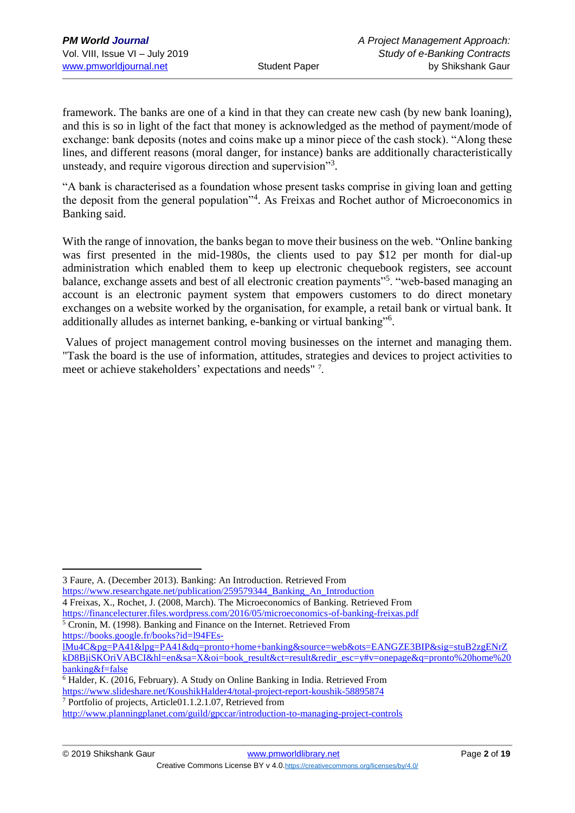framework. The banks are one of a kind in that they can create new cash (by new bank loaning), and this is so in light of the fact that money is acknowledged as the method of payment/mode of exchange: bank deposits (notes and coins make up a minor piece of the cash stock). "Along these lines, and different reasons (moral danger, for instance) banks are additionally characteristically unsteady, and require vigorous direction and supervision"<sup>3</sup>.

"A bank is characterised as a foundation whose present tasks comprise in giving loan and getting the deposit from the general population"<sup>4</sup>. As Freixas and Rochet author of Microeconomics in Banking said.

With the range of innovation, the banks began to move their business on the web. "Online banking" was first presented in the mid-1980s, the clients used to pay \$12 per month for dial-up administration which enabled them to keep up electronic chequebook registers, see account balance, exchange assets and best of all electronic creation payments"<sup>5</sup>. "web-based managing an account is an electronic payment system that empowers customers to do direct monetary exchanges on a website worked by the organisation, for example, a retail bank or virtual bank. It additionally alludes as internet banking, e-banking or virtual banking"<sup>6</sup>.

Values of project management control moving businesses on the internet and managing them. "Task the board is the use of information, attitudes, strategies and devices to project activities to meet or achieve stakeholders' expectations and needs" 7.

4 Freixas, X., Rochet, J. (2008, March). The Microeconomics of Banking. Retrieved From

<https://financelecturer.files.wordpress.com/2016/05/microeconomics-of-banking-freixas.pdf>

- <sup>5</sup> Cronin, M. (1998). Banking and Finance on the Internet. Retrieved From [https://books.google.fr/books?id=l94FEs-](https://books.google.fr/books?id=l94FEs-lMu4C&pg=PA41&lpg=PA41&dq=pronto+home+banking&source=web&ots=EANGZE3BIP&sig=stuB2zgENrZkD8BjiSKOriVABCI&hl=en&sa=X&oi=book_result&ct=result&redir_esc=y#v=onepage&q=pronto%20home%20banking&f=false)
- [lMu4C&pg=PA41&lpg=PA41&dq=pronto+home+banking&source=web&ots=EANGZE3BIP&sig=stuB2zgENrZ](https://books.google.fr/books?id=l94FEs-lMu4C&pg=PA41&lpg=PA41&dq=pronto+home+banking&source=web&ots=EANGZE3BIP&sig=stuB2zgENrZkD8BjiSKOriVABCI&hl=en&sa=X&oi=book_result&ct=result&redir_esc=y#v=onepage&q=pronto%20home%20banking&f=false) [kD8BjiSKOriVABCI&hl=en&sa=X&oi=book\\_result&ct=result&redir\\_esc=y#v=onepage&q=pronto%20home%20](https://books.google.fr/books?id=l94FEs-lMu4C&pg=PA41&lpg=PA41&dq=pronto+home+banking&source=web&ots=EANGZE3BIP&sig=stuB2zgENrZkD8BjiSKOriVABCI&hl=en&sa=X&oi=book_result&ct=result&redir_esc=y#v=onepage&q=pronto%20home%20banking&f=false) [banking&f=false](https://books.google.fr/books?id=l94FEs-lMu4C&pg=PA41&lpg=PA41&dq=pronto+home+banking&source=web&ots=EANGZE3BIP&sig=stuB2zgENrZkD8BjiSKOriVABCI&hl=en&sa=X&oi=book_result&ct=result&redir_esc=y#v=onepage&q=pronto%20home%20banking&f=false)

<sup>1</sup> 3 Faure, A. (December 2013). Banking: An Introduction. Retrieved From [https://www.researchgate.net/publication/259579344\\_Banking\\_An\\_Introduction](https://www.researchgate.net/publication/259579344_Banking_An_Introduction)

<sup>6</sup> Halder, K. (2016, February). A Study on Online Banking in India. Retrieved From <https://www.slideshare.net/KoushikHalder4/total-project-report-koushik-58895874>

<sup>7</sup> Portfolio of projects, Article01.1.2.1.07, Retrieved from

<http://www.planningplanet.com/guild/gpccar/introduction-to-managing-project-controls>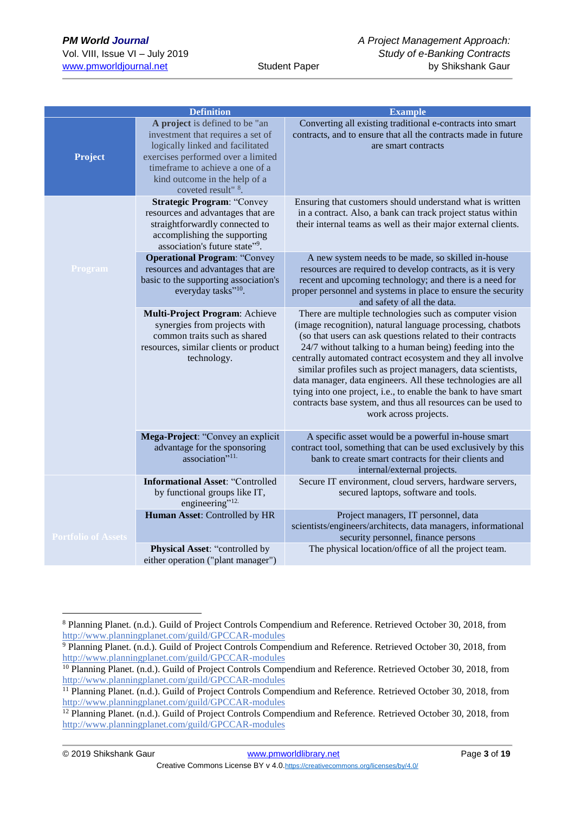|                            | <b>Definition</b>                                                                                                                                                                                                                                   | <b>Example</b>                                                                                                                                                                                                                                                                                                                                                                                                                                                                                                                                                                                           |
|----------------------------|-----------------------------------------------------------------------------------------------------------------------------------------------------------------------------------------------------------------------------------------------------|----------------------------------------------------------------------------------------------------------------------------------------------------------------------------------------------------------------------------------------------------------------------------------------------------------------------------------------------------------------------------------------------------------------------------------------------------------------------------------------------------------------------------------------------------------------------------------------------------------|
| Project                    | A project is defined to be "an<br>investment that requires a set of<br>logically linked and facilitated<br>exercises performed over a limited<br>timeframe to achieve a one of a<br>kind outcome in the help of a<br>coveted result" <sup>8</sup> . | Converting all existing traditional e-contracts into smart<br>contracts, and to ensure that all the contracts made in future<br>are smart contracts                                                                                                                                                                                                                                                                                                                                                                                                                                                      |
|                            | <b>Strategic Program: "Convey</b><br>resources and advantages that are<br>straightforwardly connected to<br>accomplishing the supporting<br>association's future state"9.                                                                           | Ensuring that customers should understand what is written<br>in a contract. Also, a bank can track project status within<br>their internal teams as well as their major external clients.                                                                                                                                                                                                                                                                                                                                                                                                                |
| Program                    | <b>Operational Program: "Convey</b><br>resources and advantages that are<br>basic to the supporting association's<br>everyday tasks" <sup>10</sup> .                                                                                                | A new system needs to be made, so skilled in-house<br>resources are required to develop contracts, as it is very<br>recent and upcoming technology; and there is a need for<br>proper personnel and systems in place to ensure the security<br>and safety of all the data.                                                                                                                                                                                                                                                                                                                               |
|                            | Multi-Project Program: Achieve<br>synergies from projects with<br>common traits such as shared<br>resources, similar clients or product<br>technology.                                                                                              | There are multiple technologies such as computer vision<br>(image recognition), natural language processing, chatbots<br>(so that users can ask questions related to their contracts<br>24/7 without talking to a human being) feeding into the<br>centrally automated contract ecosystem and they all involve<br>similar profiles such as project managers, data scientists,<br>data manager, data engineers. All these technologies are all<br>tying into one project, i.e., to enable the bank to have smart<br>contracts base system, and thus all resources can be used to<br>work across projects. |
|                            | Mega-Project: "Convey an explicit<br>advantage for the sponsoring<br>association" <sup>11.</sup>                                                                                                                                                    | A specific asset would be a powerful in-house smart<br>contract tool, something that can be used exclusively by this<br>bank to create smart contracts for their clients and<br>internal/external projects.                                                                                                                                                                                                                                                                                                                                                                                              |
|                            | <b>Informational Asset: "Controlled</b><br>by functional groups like IT,<br>engineering" <sup>12</sup>                                                                                                                                              | Secure IT environment, cloud servers, hardware servers,<br>secured laptops, software and tools.                                                                                                                                                                                                                                                                                                                                                                                                                                                                                                          |
| <b>Portfolio of Assets</b> | Human Asset: Controlled by HR                                                                                                                                                                                                                       | Project managers, IT personnel, data<br>scientists/engineers/architects, data managers, informational<br>security personnel, finance persons                                                                                                                                                                                                                                                                                                                                                                                                                                                             |
|                            | Physical Asset: "controlled by<br>either operation ("plant manager")                                                                                                                                                                                | The physical location/office of all the project team.                                                                                                                                                                                                                                                                                                                                                                                                                                                                                                                                                    |

© 2019 Shikshank Gaur [www.pmworldlibrary.net](http://www.pmworldlibrary.net/) Page **3** of **19**

<sup>8</sup> Planning Planet. (n.d.). Guild of Project Controls Compendium and Reference. Retrieved October 30, 2018, from <http://www.planningplanet.com/guild/GPCCAR-modules>

<sup>9</sup> Planning Planet. (n.d.). Guild of Project Controls Compendium and Reference. Retrieved October 30, 2018, from <http://www.planningplanet.com/guild/GPCCAR-modules>

<sup>&</sup>lt;sup>10</sup> Planning Planet. (n.d.). Guild of Project Controls Compendium and Reference. Retrieved October 30, 2018, from <http://www.planningplanet.com/guild/GPCCAR-modules>

<sup>&</sup>lt;sup>11</sup> Planning Planet. (n.d.). Guild of Project Controls Compendium and Reference. Retrieved October 30, 2018, from <http://www.planningplanet.com/guild/GPCCAR-modules>

<sup>&</sup>lt;sup>12</sup> Planning Planet. (n.d.). Guild of Project Controls Compendium and Reference. Retrieved October 30, 2018, from <http://www.planningplanet.com/guild/GPCCAR-modules>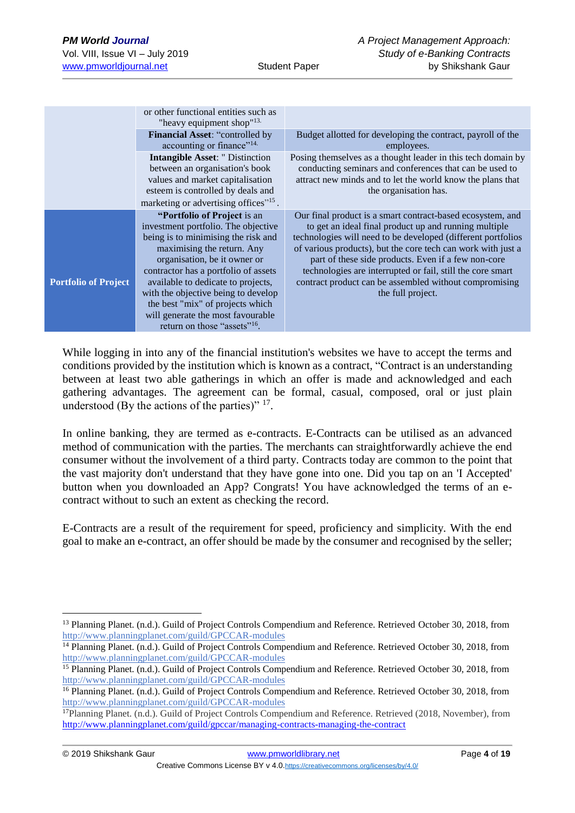1

|                             | or other functional entities such as<br>"heavy equipment shop" $13$ .                                                                                                                                                                                                                                                                                                                                             |                                                                                                                                                                                                                                                                                                                                                                                                                                                         |
|-----------------------------|-------------------------------------------------------------------------------------------------------------------------------------------------------------------------------------------------------------------------------------------------------------------------------------------------------------------------------------------------------------------------------------------------------------------|---------------------------------------------------------------------------------------------------------------------------------------------------------------------------------------------------------------------------------------------------------------------------------------------------------------------------------------------------------------------------------------------------------------------------------------------------------|
|                             | Financial Asset: "controlled by<br>accounting or finance" <sup>14.</sup>                                                                                                                                                                                                                                                                                                                                          | Budget allotted for developing the contract, payroll of the<br>employees.                                                                                                                                                                                                                                                                                                                                                                               |
|                             | <b>Intangible Asset: " Distinction</b><br>between an organisation's book<br>values and market capitalisation<br>esteem is controlled by deals and<br>marketing or advertising offices" <sup>15</sup> .                                                                                                                                                                                                            | Posing themselves as a thought leader in this tech domain by<br>conducting seminars and conferences that can be used to<br>attract new minds and to let the world know the plans that<br>the organisation has.                                                                                                                                                                                                                                          |
| <b>Portfolio of Project</b> | "Portfolio of Project is an<br>investment portfolio. The objective<br>being is to minimising the risk and<br>maximising the return. Any<br>organisation, be it owner or<br>contractor has a portfolio of assets<br>available to dedicate to projects,<br>with the objective being to develop<br>the best "mix" of projects which<br>will generate the most favourable<br>return on those "assets" <sup>16</sup> . | Our final product is a smart contract-based ecosystem, and<br>to get an ideal final product up and running multiple<br>technologies will need to be developed (different portfolios<br>of various products), but the core tech can work with just a<br>part of these side products. Even if a few non-core<br>technologies are interrupted or fail, still the core smart<br>contract product can be assembled without compromising<br>the full project. |

While logging in into any of the financial institution's websites we have to accept the terms and conditions provided by the institution which is known as a contract, "Contract is an understanding between at least two able gatherings in which an offer is made and acknowledged and each gathering advantages. The agreement can be formal, casual, composed, oral or just plain understood (By the actions of the parties)"  $17$ .

In online banking, they are termed as e-contracts. E-Contracts can be utilised as an advanced method of communication with the parties. The merchants can straightforwardly achieve the end consumer without the involvement of a third party. Contracts today are common to the point that the vast majority don't understand that they have gone into one. Did you tap on an 'I Accepted' button when you downloaded an App? Congrats! You have acknowledged the terms of an econtract without to such an extent as checking the record.

E-Contracts are a result of the requirement for speed, proficiency and simplicity. With the end goal to make an e-contract, an offer should be made by the consumer and recognised by the seller;

<sup>&</sup>lt;sup>13</sup> Planning Planet. (n.d.). Guild of Project Controls Compendium and Reference. Retrieved October 30, 2018, from <http://www.planningplanet.com/guild/GPCCAR-modules>

<sup>&</sup>lt;sup>14</sup> Planning Planet. (n.d.). Guild of Project Controls Compendium and Reference. Retrieved October 30, 2018, from <http://www.planningplanet.com/guild/GPCCAR-modules>

<sup>&</sup>lt;sup>15</sup> Planning Planet. (n.d.). Guild of Project Controls Compendium and Reference. Retrieved October 30, 2018, from <http://www.planningplanet.com/guild/GPCCAR-modules>

<sup>&</sup>lt;sup>16</sup> Planning Planet. (n.d.). Guild of Project Controls Compendium and Reference. Retrieved October 30, 2018, from <http://www.planningplanet.com/guild/GPCCAR-modules>

<sup>17</sup>Planning Planet. (n.d.). Guild of Project Controls Compendium and Reference. Retrieved (2018, November), from <http://www.planningplanet.com/guild/gpccar/managing-contracts-managing-the-contract>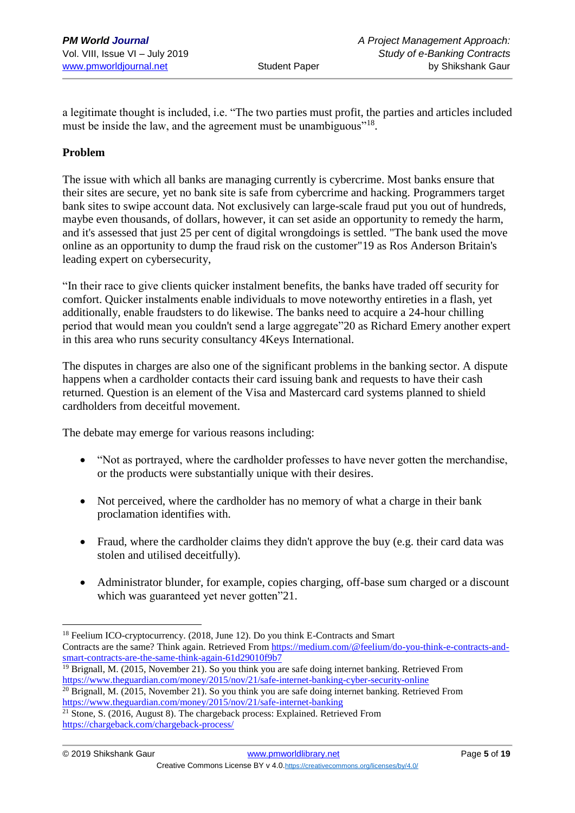a legitimate thought is included, i.e. "The two parties must profit, the parties and articles included must be inside the law, and the agreement must be unambiguous"<sup>18</sup>.

# **Problem**

1

The issue with which all banks are managing currently is cybercrime. Most banks ensure that their sites are secure, yet no bank site is safe from cybercrime and hacking. Programmers target bank sites to swipe account data. Not exclusively can large-scale fraud put you out of hundreds, maybe even thousands, of dollars, however, it can set aside an opportunity to remedy the harm, and it's assessed that just 25 per cent of digital wrongdoings is settled. "The bank used the move online as an opportunity to dump the fraud risk on the customer"19 as Ros Anderson Britain's leading expert on cybersecurity,

"In their race to give clients quicker instalment benefits, the banks have traded off security for comfort. Quicker instalments enable individuals to move noteworthy entireties in a flash, yet additionally, enable fraudsters to do likewise. The banks need to acquire a 24-hour chilling period that would mean you couldn't send a large aggregate"20 as Richard Emery another expert in this area who runs security consultancy 4Keys International.

The disputes in charges are also one of the significant problems in the banking sector. A dispute happens when a cardholder contacts their card issuing bank and requests to have their cash returned. Question is an element of the Visa and Mastercard card systems planned to shield cardholders from deceitful movement.

The debate may emerge for various reasons including:

- "Not as portrayed, where the cardholder professes to have never gotten the merchandise, or the products were substantially unique with their desires.
- Not perceived, where the cardholder has no memory of what a charge in their bank proclamation identifies with.
- Fraud, where the cardholder claims they didn't approve the buy (e.g. their card data was stolen and utilised deceitfully).
- Administrator blunder, for example, copies charging, off-base sum charged or a discount which was guaranteed yet never gotten"21.

<sup>&</sup>lt;sup>18</sup> Feelium ICO-cryptocurrency. (2018, June 12). Do you think E-Contracts and Smart Contracts are the same? Think again. Retrieved From [https://medium.com/@feelium/do-you-think-e-contracts-and](https://medium.com/@feelium/do-you-think-e-contracts-and-smart-contracts-are-the-same-think-again-61d29010f9b7)[smart-contracts-are-the-same-think-again-61d29010f9b7](https://medium.com/@feelium/do-you-think-e-contracts-and-smart-contracts-are-the-same-think-again-61d29010f9b7)

<sup>&</sup>lt;sup>19</sup> Brignall, M. (2015, November 21). So you think you are safe doing internet banking. Retrieved From <https://www.theguardian.com/money/2015/nov/21/safe-internet-banking-cyber-security-online>

<sup>20</sup> Brignall, M. (2015, November 21). So you think you are safe doing internet banking. Retrieved From [https://www.theguardian.com/money/2015/nov/21/safe-internet-banking](https://www.theguardian.com/money/2015/nov/21/safe-internet-banking-cyber-security-online)

 $21$  Stone, S. (2016, August 8). The chargeback process: Explained. Retrieved From <https://chargeback.com/chargeback-process/>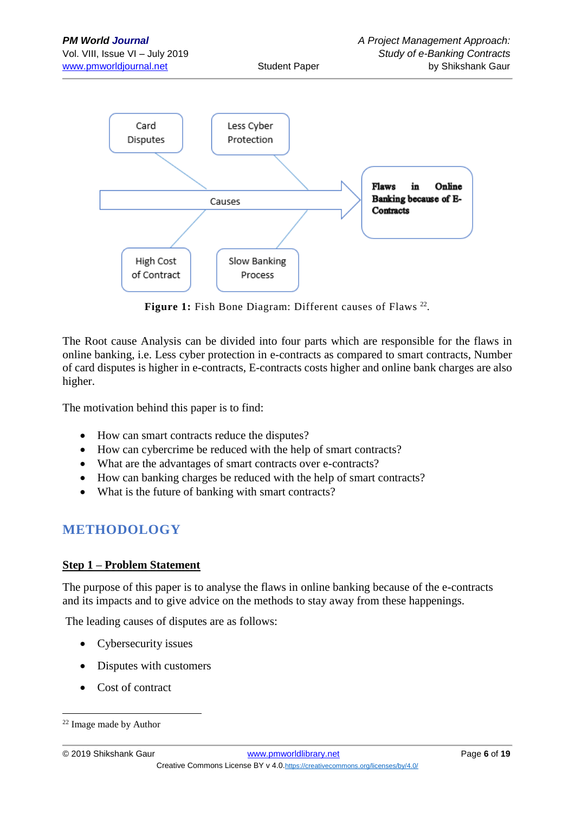

Figure 1: Fish Bone Diagram: Different causes of Flaws<sup>22</sup>.

The Root cause Analysis can be divided into four parts which are responsible for the flaws in online banking, i.e. Less cyber protection in e-contracts as compared to smart contracts, Number of card disputes is higher in e-contracts, E-contracts costs higher and online bank charges are also higher.

The motivation behind this paper is to find:

- How can smart contracts reduce the disputes?
- How can cybercrime be reduced with the help of smart contracts?
- What are the advantages of smart contracts over e-contracts?
- How can banking charges be reduced with the help of smart contracts?
- What is the future of banking with smart contracts?

# **METHODOLOGY**

# **Step 1 – Problem Statement**

The purpose of this paper is to analyse the flaws in online banking because of the e-contracts and its impacts and to give advice on the methods to stay away from these happenings.

The leading causes of disputes are as follows:

- Cybersecurity issues
- Disputes with customers
- Cost of contract

<sup>22</sup> Image made by Author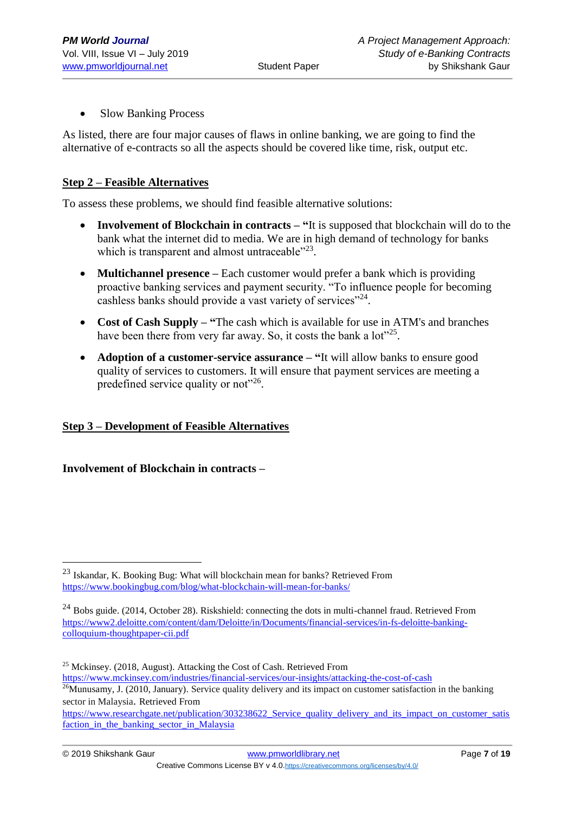• Slow Banking Process

As listed, there are four major causes of flaws in online banking, we are going to find the alternative of e-contracts so all the aspects should be covered like time, risk, output etc.

# **Step 2 – Feasible Alternatives**

To assess these problems, we should find feasible alternative solutions:

- **Involvement of Blockchain in contracts – "**It is supposed that blockchain will do to the bank what the internet did to media. We are in high demand of technology for banks which is transparent and almost untraceable"<sup>23</sup>.
- **Multichannel presence** Each customer would prefer a bank which is providing proactive banking services and payment security. "To influence people for becoming cashless banks should provide a vast variety of services"<sup>24</sup>.
- **Cost of Cash Supply – "**The cash which is available for use in ATM's and branches have been there from very far away. So, it costs the bank a lot"<sup>25</sup>.
- **Adoption of a customer-service assurance – "**It will allow banks to ensure good quality of services to customers. It will ensure that payment services are meeting a predefined service quality or not"<sup>26</sup>.

# **Step 3 – Development of Feasible Alternatives**

# **Involvement of Blockchain in contracts –**

<sup>23</sup> Iskandar, K. Booking Bug: What will blockchain mean for banks? Retrieved From <https://www.bookingbug.com/blog/what-blockchain-will-mean-for-banks/>

 $^{24}$  Bobs guide. (2014, October 28). Riskshield: connecting the dots in multi-channel fraud. Retrieved From [https://www2.deloitte.com/content/dam/Deloitte/in/Documents/financial-services/in-fs-deloitte-banking](https://www2.deloitte.com/content/dam/Deloitte/in/Documents/financial-services/in-fs-deloitte-banking-colloquium-thoughtpaper-cii.pdf)[colloquium-thoughtpaper-cii.pdf](https://www2.deloitte.com/content/dam/Deloitte/in/Documents/financial-services/in-fs-deloitte-banking-colloquium-thoughtpaper-cii.pdf)

<sup>25</sup> Mckinsey. (2018, August). Attacking the Cost of Cash. Retrieved From

<https://www.mckinsey.com/industries/financial-services/our-insights/attacking-the-cost-of-cash>

 $26$ Munusamy, J. (2010, January). Service quality delivery and its impact on customer satisfaction in the banking sector in Malaysia. Retrieved From

[https://www.researchgate.net/publication/303238622\\_Service\\_quality\\_delivery\\_and\\_its\\_impact\\_on\\_customer\\_satis](https://www.researchgate.net/publication/303238622_Service_quality_delivery_and_its_impact_on_customer_satisfaction_in_the_banking_sector_in_Malaysia) [faction\\_in\\_the\\_banking\\_sector\\_in\\_Malaysia](https://www.researchgate.net/publication/303238622_Service_quality_delivery_and_its_impact_on_customer_satisfaction_in_the_banking_sector_in_Malaysia)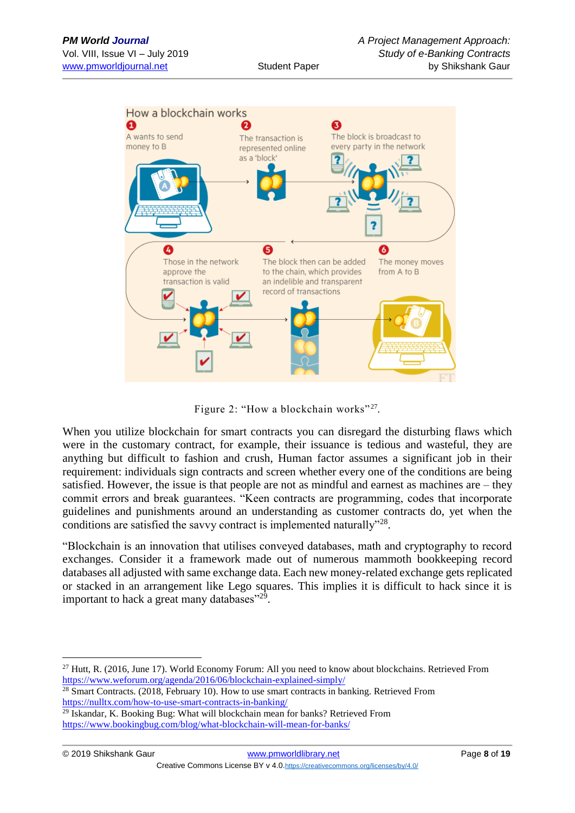

Figure 2: "How a blockchain works"<sup>27</sup>.

When you utilize blockchain for smart contracts you can disregard the disturbing flaws which were in the customary contract, for example, their issuance is tedious and wasteful, they are anything but difficult to fashion and crush, Human factor assumes a significant job in their requirement: individuals sign contracts and screen whether every one of the conditions are being satisfied. However, the issue is that people are not as mindful and earnest as machines are – they commit errors and break guarantees. "Keen contracts are programming, codes that incorporate guidelines and punishments around an understanding as customer contracts do, yet when the conditions are satisfied the savvy contract is implemented naturally"<sup>28</sup>.

"Blockchain is an innovation that utilises conveyed databases, math and cryptography to record exchanges. Consider it a framework made out of numerous mammoth bookkeeping record databases all adjusted with same exchange data. Each new money-related exchange gets replicated or stacked in an arrangement like Lego squares. This implies it is difficult to hack since it is important to hack a great many databases"<sup>29</sup>.

```
28 Smart Contracts. (2018, February 10). How to use smart contracts in banking. Retrieved From 
https://nulltx.com/how-to-use-smart-contracts-in-banking/
```

```
<sup>29</sup> Iskandar, K. Booking Bug: What will blockchain mean for banks? Retrieved From
https://www.bookingbug.com/blog/what-blockchain-will-mean-for-banks/
```
<sup>&</sup>lt;sup>27</sup> Hutt, R. (2016, June 17). World Economy Forum: All you need to know about blockchains. Retrieved From <https://www.weforum.org/agenda/2016/06/blockchain-explained-simply/>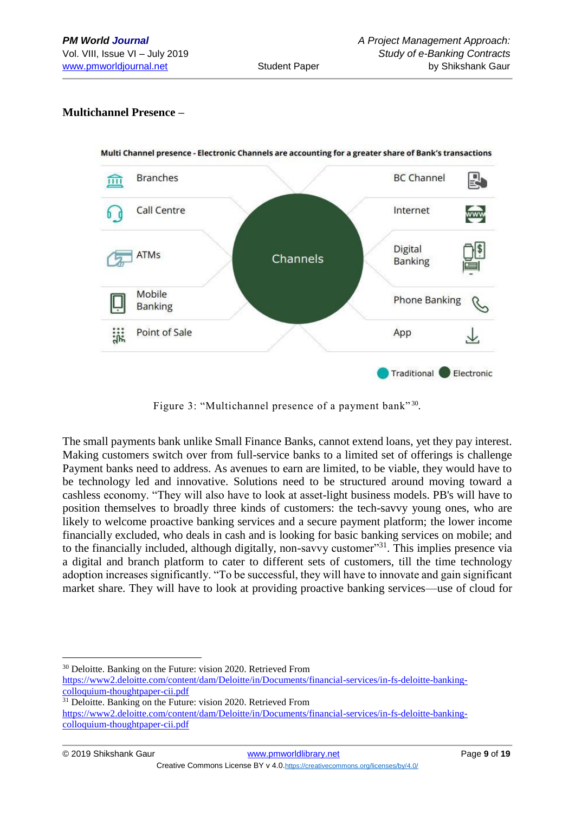# **Multichannel Presence –**



Figure 3: "Multichannel presence of a payment bank"<sup>30</sup>.

The small payments bank unlike Small Finance Banks, cannot extend loans, yet they pay interest. Making customers switch over from full-service banks to a limited set of offerings is challenge Payment banks need to address. As avenues to earn are limited, to be viable, they would have to be technology led and innovative. Solutions need to be structured around moving toward a cashless economy. "They will also have to look at asset-light business models. PB's will have to position themselves to broadly three kinds of customers: the tech-savvy young ones, who are likely to welcome proactive banking services and a secure payment platform; the lower income financially excluded, who deals in cash and is looking for basic banking services on mobile; and to the financially included, although digitally, non-savvy customer<sup>31</sup>. This implies presence via a digital and branch platform to cater to different sets of customers, till the time technology adoption increases significantly. "To be successful, they will have to innovate and gain significant market share. They will have to look at providing proactive banking services—use of cloud for

<sup>30</sup> Deloitte. Banking on the Future: vision 2020. Retrieved From [https://www2.deloitte.com/content/dam/Deloitte/in/Documents/financial-services/in-fs-deloitte-banking](https://www2.deloitte.com/content/dam/Deloitte/in/Documents/financial-services/in-fs-deloitte-banking-colloquium-thoughtpaper-cii.pdf)[colloquium-thoughtpaper-cii.pdf](https://www2.deloitte.com/content/dam/Deloitte/in/Documents/financial-services/in-fs-deloitte-banking-colloquium-thoughtpaper-cii.pdf)

<sup>&</sup>lt;sup>31</sup> Deloitte. Banking on the Future: vision 2020. Retrieved From [https://www2.deloitte.com/content/dam/Deloitte/in/Documents/financial-services/in-fs-deloitte-banking](https://www2.deloitte.com/content/dam/Deloitte/in/Documents/financial-services/in-fs-deloitte-banking-colloquium-thoughtpaper-cii.pdf)[colloquium-thoughtpaper-cii.pdf](https://www2.deloitte.com/content/dam/Deloitte/in/Documents/financial-services/in-fs-deloitte-banking-colloquium-thoughtpaper-cii.pdf)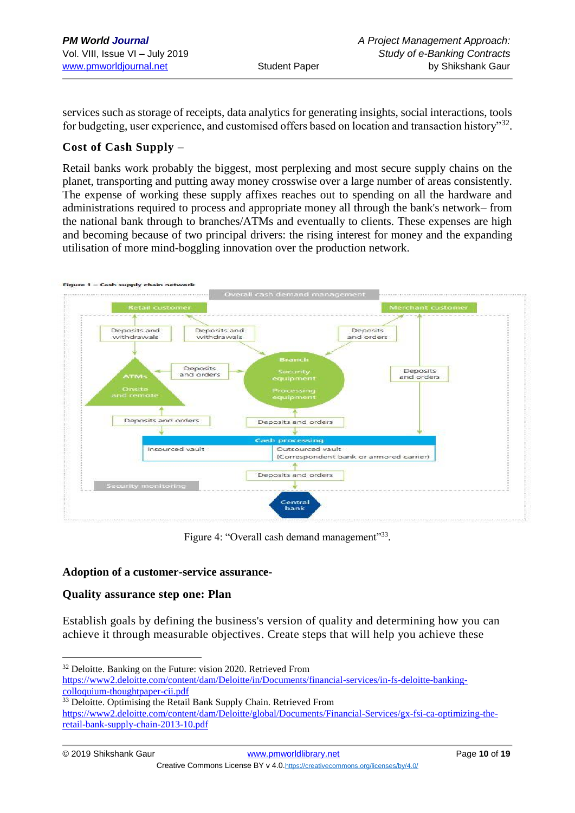services such as storage of receipts, data analytics for generating insights, social interactions, tools for budgeting, user experience, and customised offers based on location and transaction history"<sup>32</sup>.

## **Cost of Cash Supply** –

Retail banks work probably the biggest, most perplexing and most secure supply chains on the planet, transporting and putting away money crosswise over a large number of areas consistently. The expense of working these supply affixes reaches out to spending on all the hardware and administrations required to process and appropriate money all through the bank's network– from the national bank through to branches/ATMs and eventually to clients. These expenses are high and becoming because of two principal drivers: the rising interest for money and the expanding utilisation of more mind-boggling innovation over the production network.



Figure 4: "Overall cash demand management"33.

#### **Adoption of a customer-service assurance-**

#### **Quality assurance step one: Plan**

<u>.</u>

Establish goals by defining the business's version of quality and determining how you can [achieve it through measurable objectives.](https://wellsfargoworks.com/grow/video/strategies-for-improving-business-processes) Create steps that will help you achieve these

<sup>&</sup>lt;sup>32</sup> Deloitte. Banking on the Future: vision 2020. Retrieved From [https://www2.deloitte.com/content/dam/Deloitte/in/Documents/financial-services/in-fs-deloitte-banking](https://www2.deloitte.com/content/dam/Deloitte/in/Documents/financial-services/in-fs-deloitte-banking-colloquium-thoughtpaper-cii.pdf)[colloquium-thoughtpaper-cii.pdf](https://www2.deloitte.com/content/dam/Deloitte/in/Documents/financial-services/in-fs-deloitte-banking-colloquium-thoughtpaper-cii.pdf)

<sup>&</sup>lt;sup>33</sup> Deloitte. Optimising the Retail Bank Supply Chain. Retrieved From [https://www2.deloitte.com/content/dam/Deloitte/global/Documents/Financial-Services/gx-fsi-ca-optimizing-the](https://www2.deloitte.com/content/dam/Deloitte/global/Documents/Financial-Services/gx-fsi-ca-optimizing-the-retail-bank-supply-chain-2013-10.pdf)[retail-bank-supply-chain-2013-10.pdf](https://www2.deloitte.com/content/dam/Deloitte/global/Documents/Financial-Services/gx-fsi-ca-optimizing-the-retail-bank-supply-chain-2013-10.pdf)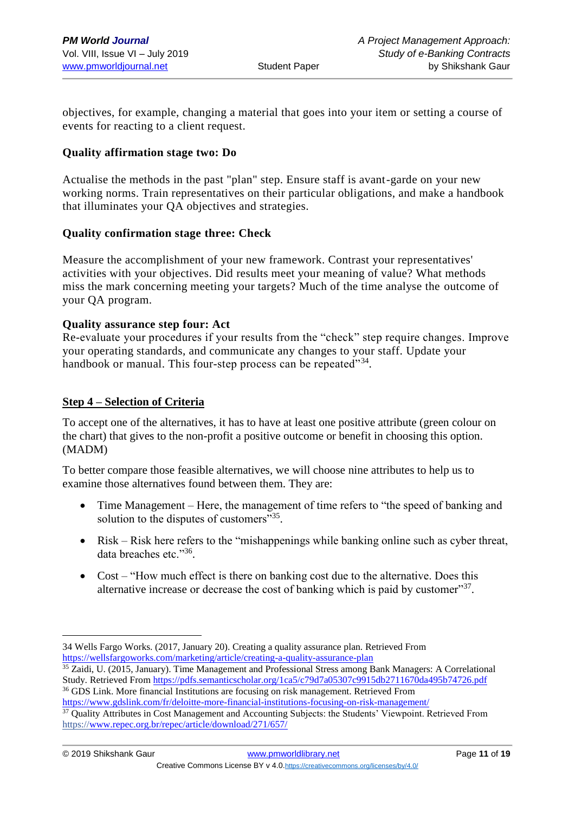objectives, for example, changing a material that goes into your item or setting a course of events for reacting to a client request.

# **Quality affirmation stage two: Do**

Actualise the methods in the past "plan" step. Ensure staff is avant-garde on your new working norms. Train representatives on their particular obligations, and make a handbook that illuminates your QA objectives and strategies.

## **Quality confirmation stage three: Check**

Measure the accomplishment of your new framework. Contrast your representatives' activities with your objectives. Did results meet your meaning of value? What methods miss the mark concerning meeting your targets? Much of the time analyse the outcome of your QA program.

#### **Quality assurance step four: Act**

Re-evaluate your procedures if your results from the "check" step require changes. Improve your operating standards, and communicate any changes to your staff. Update your handbook or manual. This four-step process can be repeated"<sup>34</sup>.

## **Step 4 – Selection of Criteria**

<u>.</u>

To accept one of the alternatives, it has to have at least one positive attribute (green colour on the chart) that gives to the non-profit a positive outcome or benefit in choosing this option. (MADM)

To better compare those feasible alternatives, we will choose nine attributes to help us to examine those alternatives found between them. They are:

- Time Management Here, the management of time refers to "the speed of banking and solution to the disputes of customers"35.
- Risk Risk here refers to the "mishappenings while banking online such as cyber threat, data breaches etc."36.
- Cost "How much effect is there on banking cost due to the alternative. Does this alternative increase or decrease the cost of banking which is paid by customer"<sup>37</sup>.

<sup>34</sup> Wells Fargo Works. (2017, January 20). Creating a quality assurance plan. Retrieved From <https://wellsfargoworks.com/marketing/article/creating-a-quality-assurance-plan>

<sup>&</sup>lt;sup>35</sup> Zaidi, U. (2015, January). Time Management and Professional Stress among Bank Managers: A Correlational Study. Retrieved Fro[m https://pdfs.semanticscholar.org/1ca5/c79d7a05307c9915db2711670da495b74726.pdf](https://pdfs.semanticscholar.org/1ca5/c79d7a05307c9915db2711670da495b74726.pdf) <sup>36</sup> GDS Link. More financial Institutions are focusing on risk management. Retrieved From

<https://www.gdslink.com/fr/deloitte-more-financial-institutions-focusing-on-risk-management/>

<sup>37</sup> Quality Attributes in Cost Management and Accounting Subjects: the Students' Viewpoint. Retrieved From https:/[/www.repec.org.br/repec/article/download/271/657/](http://www.repec.org.br/repec/article/download/271/657/)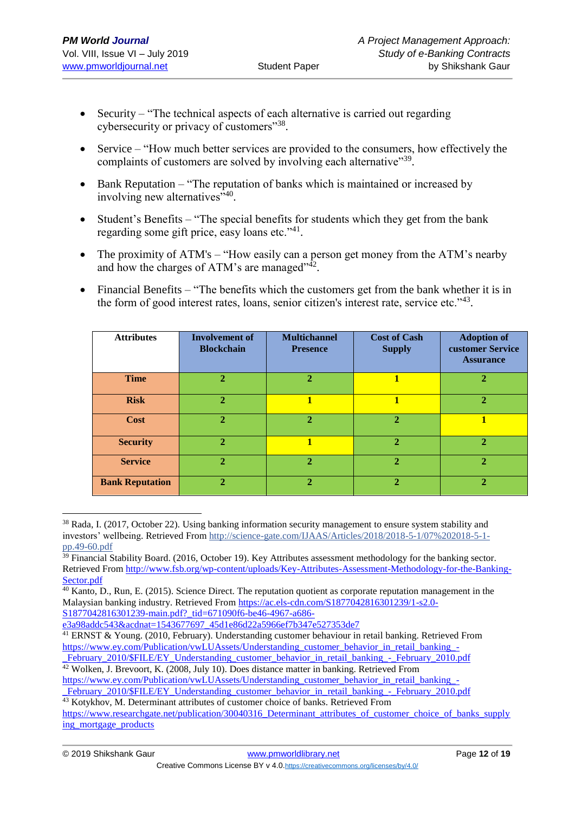- Security "The technical aspects of each alternative is carried out regarding cybersecurity or privacy of customers"<sup>38</sup>.
- Service "How much better services are provided to the consumers, how effectively the complaints of customers are solved by involving each alternative"<sup>39</sup>.
- Bank Reputation "The reputation of banks which is maintained or increased by involving new alternatives"<sup>40</sup>.
- Student's Benefits "The special benefits for students which they get from the bank regarding some gift price, easy loans etc."<sup>41</sup>.
- The proximity of ATM's "How easily can a person get money from the ATM's nearby and how the charges of ATM's are managed" $42$ .
- Financial Benefits "The benefits which the customers get from the bank whether it is in the form of good interest rates, loans, senior citizen's interest rate, service etc."<sup>43</sup>.

| <b>Attributes</b>      | <b>Involvement of</b><br><b>Blockchain</b> | <b>Multichannel</b><br><b>Presence</b> | <b>Cost of Cash</b><br><b>Supply</b> | <b>Adoption of</b><br>customer Service<br><b>Assurance</b> |
|------------------------|--------------------------------------------|----------------------------------------|--------------------------------------|------------------------------------------------------------|
| <b>Time</b>            | $\overline{2}$                             | $\mathbf{2}$                           | 1                                    | $\mathbf{2}$                                               |
| <b>Risk</b>            | $\mathbf{2}$                               | 1                                      | 1                                    | $\mathbf{2}$                                               |
| Cost                   | $\overline{2}$                             | 2.                                     | $\mathbf{2}$                         |                                                            |
| <b>Security</b>        | $\overline{2}$                             | 1                                      | $\overline{2}$                       | $\mathbf{2}$                                               |
| <b>Service</b>         | $\overline{2}$                             | $\overline{2}$                         | $\mathbf{2}$                         | $\mathbf{2}$                                               |
| <b>Bank Reputation</b> | 2                                          |                                        | ኅ                                    | 2                                                          |

<sup>&</sup>lt;sup>38</sup> Rada, I. (2017, October 22). Using banking information security management to ensure system stability and investors' wellbeing. Retrieved From http://science-gate.com/IJAAS/Articles/2018/2018-5-1/07%202018-5-1 pp.49-60.pdf

 $\frac{39}{29}$  Financial Stability Board. (2016, October 19). Key Attributes assessment methodology for the banking sector. Retrieved From [http://www.fsb.org/wp-content/uploads/Key-Attributes-Assessment-Methodology-for-the-Banking-](http://www.fsb.org/wp-content/uploads/Key-Attributes-Assessment-Methodology-for-the-Banking-Sector.pdf)[Sector.pdf](http://www.fsb.org/wp-content/uploads/Key-Attributes-Assessment-Methodology-for-the-Banking-Sector.pdf)

 $\overline{^{40}$  Kanto, D., Run, E. (2015). Science Direct. The reputation quotient as corporate reputation management in the Malaysian banking industry. Retrieved From [https://ac.els-cdn.com/S1877042816301239/1-s2.0-](https://ac.els-cdn.com/S1877042816301239/1-s2.0-S1877042816301239-main.pdf?_tid=671090f6-be46-4967-a686-e3a98addc543&acdnat=1543677697_45d1e86d22a5966ef7b347e527353de7) S1877042816301239-main.pdf? tid=671090f6-be46-4967-a686-

[e3a98addc543&acdnat=1543677697\\_45d1e86d22a5966ef7b347e527353de7](https://ac.els-cdn.com/S1877042816301239/1-s2.0-S1877042816301239-main.pdf?_tid=671090f6-be46-4967-a686-e3a98addc543&acdnat=1543677697_45d1e86d22a5966ef7b347e527353de7)

<sup>41</sup> ERNST & Young. (2010, February). Understanding customer behaviour in retail banking. Retrieved From [https://www.ey.com/Publication/vwLUAssets/Understanding\\_customer\\_behavior\\_in\\_retail\\_banking\\_-](https://www.ey.com/Publication/vwLUAssets/Understanding_customer_behavior_in_retail_banking_-_February_2010/$FILE/EY_Understanding_customer_behavior_in_retail_banking_-_February_2010.pdf)

[\\_February\\_2010/\\$FILE/EY\\_Understanding\\_customer\\_behavior\\_in\\_retail\\_banking\\_-\\_February\\_2010.pdf](https://www.ey.com/Publication/vwLUAssets/Understanding_customer_behavior_in_retail_banking_-_February_2010/$FILE/EY_Understanding_customer_behavior_in_retail_banking_-_February_2010.pdf) <sup>42</sup> Wolken, J. Brevoort, K. (2008, July 10). Does distance matter in banking. Retrieved From

[https://www.ey.com/Publication/vwLUAssets/Understanding\\_customer\\_behavior\\_in\\_retail\\_banking\\_-](https://www.ey.com/Publication/vwLUAssets/Understanding_customer_behavior_in_retail_banking_-_February_2010/$FILE/EY_Understanding_customer_behavior_in_retail_banking_-_February_2010.pdf) February\_2010/\$FILE/EY\_Understanding\_customer\_behavior\_in\_retail\_banking\_-\_February\_2010.pdf

<sup>&</sup>lt;sup>43</sup> Kotykhov, M. Determinant attributes of customer choice of banks. Retrieved From [https://www.researchgate.net/publication/30040316\\_Determinant\\_attributes\\_of\\_customer\\_choice\\_of\\_banks\\_supply](https://www.researchgate.net/publication/30040316_Determinant_attributes_of_customer_choice_of_banks_supplying_mortgage_products)

[ing\\_mortgage\\_products](https://www.researchgate.net/publication/30040316_Determinant_attributes_of_customer_choice_of_banks_supplying_mortgage_products)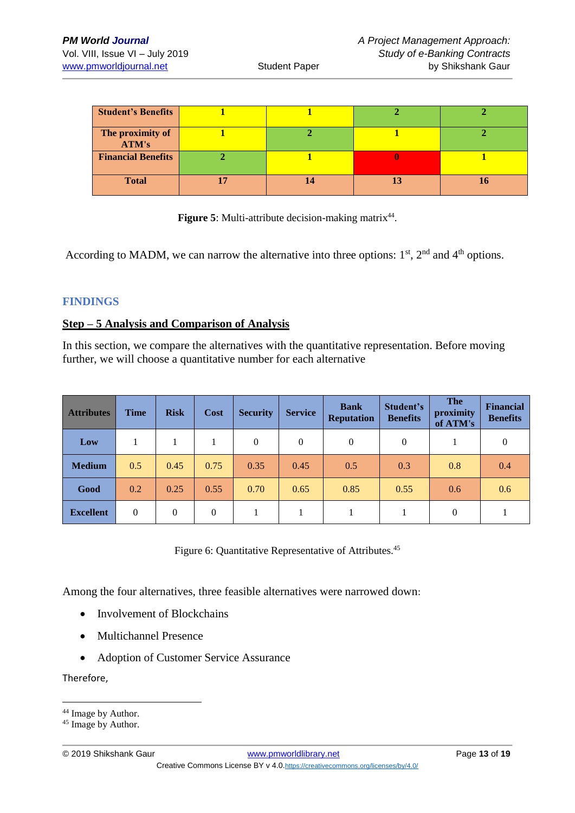| <b>Student's Benefits</b> |  |  |
|---------------------------|--|--|
| The proximity of<br>ATM's |  |  |
| <b>Financial Benefits</b> |  |  |
| <b>Total</b>              |  |  |

Figure 5: Multi-attribute decision-making matrix<sup>44</sup>.

According to MADM, we can narrow the alternative into three options:  $1<sup>st</sup>$ ,  $2<sup>nd</sup>$  and  $4<sup>th</sup>$  options.

#### **FINDINGS**

#### **Step – 5 Analysis and Comparison of Analysis**

In this section, we compare the alternatives with the quantitative representation. Before moving further, we will choose a quantitative number for each alternative

| <b>Attributes</b> | <b>Time</b> | <b>Risk</b>    | Cost         | <b>Security</b> | <b>Service</b> | <b>Bank</b><br><b>Reputation</b> | Student's<br><b>Benefits</b> | <b>The</b><br>proximity<br>of ATM's | <b>Financial</b><br><b>Benefits</b> |
|-------------------|-------------|----------------|--------------|-----------------|----------------|----------------------------------|------------------------------|-------------------------------------|-------------------------------------|
| Low               |             |                |              | $\mathbf{0}$    | 0              | 0                                | $\mathbf{0}$                 |                                     | 0                                   |
| <b>Medium</b>     | 0.5         | 0.45           | 0.75         | 0.35            | 0.45           | 0.5                              | 0.3                          | 0.8                                 | 0.4                                 |
| Good              | 0.2         | 0.25           | 0.55         | 0.70            | 0.65           | 0.85                             | 0.55                         | 0.6                                 | 0.6                                 |
| <b>Excellent</b>  | $\Omega$    | $\overline{0}$ | $\mathbf{0}$ |                 |                |                                  |                              | $\theta$                            |                                     |

Figure 6: Quantitative Representative of Attributes.<sup>45</sup>

Among the four alternatives, three feasible alternatives were narrowed down:

- Involvement of Blockchains
- Multichannel Presence
- Adoption of Customer Service Assurance

Therefore,

<sup>&</sup>lt;sup>44</sup> Image by Author.

<sup>&</sup>lt;sup>45</sup> Image by Author.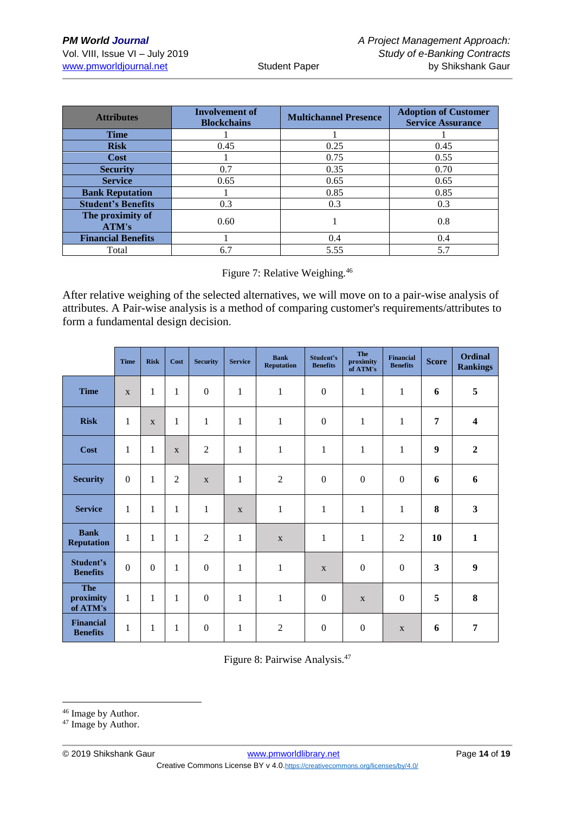| Involvement of<br><b>Attributes</b><br><b>Blockchains</b> |      | <b>Multichannel Presence</b> | <b>Adoption of Customer</b><br><b>Service Assurance</b> |  |  |
|-----------------------------------------------------------|------|------------------------------|---------------------------------------------------------|--|--|
| <b>Time</b>                                               |      |                              |                                                         |  |  |
| <b>Risk</b>                                               | 0.45 | 0.25                         | 0.45                                                    |  |  |
| <b>Cost</b>                                               |      | 0.75                         | 0.55                                                    |  |  |
| <b>Security</b>                                           | 0.7  | 0.35                         | 0.70                                                    |  |  |
| <b>Service</b>                                            | 0.65 | 0.65                         | 0.65                                                    |  |  |
| <b>Bank Reputation</b>                                    |      | 0.85                         | 0.85                                                    |  |  |
| <b>Student's Benefits</b>                                 | 0.3  | 0.3                          | 0.3                                                     |  |  |
| The proximity of<br>ATM's                                 | 0.60 |                              | 0.8                                                     |  |  |
| <b>Financial Benefits</b>                                 |      | 0.4                          | 0.4                                                     |  |  |
| Total                                                     | 6.7  | 5.55                         | 5.7                                                     |  |  |

Figure 7: Relative Weighing.<sup>46</sup>

After relative weighing of the selected alternatives, we will move on to a pair-wise analysis of attributes. A Pair-wise analysis is a method of comparing customer's requirements/attributes to form a fundamental design decision.

|                                     | <b>Time</b>      | <b>Risk</b>      | Cost           | <b>Security</b>  | <b>Service</b> | <b>Bank</b><br><b>Reputation</b> | Student's<br><b>Benefits</b> | <b>The</b><br>proximity<br>of ATM's | <b>Financial</b><br><b>Benefits</b> | <b>Score</b>            | <b>Ordinal</b><br><b>Rankings</b> |
|-------------------------------------|------------------|------------------|----------------|------------------|----------------|----------------------------------|------------------------------|-------------------------------------|-------------------------------------|-------------------------|-----------------------------------|
| <b>Time</b>                         | $\mathbf{X}$     | $\mathbf{1}$     | 1              | $\boldsymbol{0}$ | $\mathbf{1}$   | $\mathbf{1}$                     | $\boldsymbol{0}$             | $\mathbf{1}$                        | $\mathbf{1}$                        | 6                       | 5                                 |
| <b>Risk</b>                         | $\mathbf{1}$     | $\mathbf{X}$     | $\mathbf{1}$   | $\mathbf{1}$     | $\mathbf{1}$   | $\mathbf{1}$                     | $\mathbf{0}$                 | $\mathbf{1}$                        | $\mathbf{1}$                        | 7                       | $\overline{\mathbf{4}}$           |
| Cost                                | $\mathbf{1}$     | $\mathbf{1}$     | X              | $\overline{2}$   | $\mathbf{1}$   | $\mathbf{1}$                     | $\mathbf 1$                  | $\mathbf{1}$                        | $\mathbf{1}$                        | 9                       | $\boldsymbol{2}$                  |
| <b>Security</b>                     | $\boldsymbol{0}$ | 1                | $\overline{2}$ | X                | $\mathbf{1}$   | $\overline{2}$                   | $\boldsymbol{0}$             | $\boldsymbol{0}$                    | $\boldsymbol{0}$                    | 6                       | 6                                 |
| <b>Service</b>                      | $\mathbf{1}$     | $\mathbf{1}$     | 1              | 1                | $\mathbf X$    | $\mathbf{1}$                     | $\mathbf{1}$                 | $\mathbf{1}$                        | $\mathbf{1}$                        | 8                       | $\overline{\mathbf{3}}$           |
| <b>Bank</b><br><b>Reputation</b>    | $\mathbf{1}$     | $\mathbf{1}$     | $\mathbf{1}$   | $\overline{2}$   | $\mathbf{1}$   | $\mathbf X$                      | $\mathbf{1}$                 | $\mathbf{1}$                        | $\mathfrak{2}$                      | 10                      | $\mathbf{1}$                      |
| <b>Student's</b><br><b>Benefits</b> | $\boldsymbol{0}$ | $\boldsymbol{0}$ | 1              | $\boldsymbol{0}$ | $\mathbf{1}$   | $\mathbf{1}$                     | $\mathbf X$                  | $\boldsymbol{0}$                    | $\boldsymbol{0}$                    | $\overline{\mathbf{3}}$ | $\boldsymbol{9}$                  |
| <b>The</b><br>proximity<br>of ATM's | $\mathbf{1}$     | $\mathbf 1$      | 1              | $\boldsymbol{0}$ | $\mathbf{1}$   | $\mathbf{1}$                     | $\boldsymbol{0}$             | $\mathbf X$                         | $\boldsymbol{0}$                    | 5                       | 8                                 |
| <b>Financial</b><br><b>Benefits</b> | $\mathbf{1}$     | $\mathbf{1}$     | 1              | $\boldsymbol{0}$ | 1              | $\overline{2}$                   | $\boldsymbol{0}$             | $\mathbf{0}$                        | X                                   | 6                       | 7                                 |

Figure 8: Pairwise Analysis. 47

<sup>&</sup>lt;sup>46</sup> Image by Author.

<sup>&</sup>lt;sup>47</sup> Image by Author.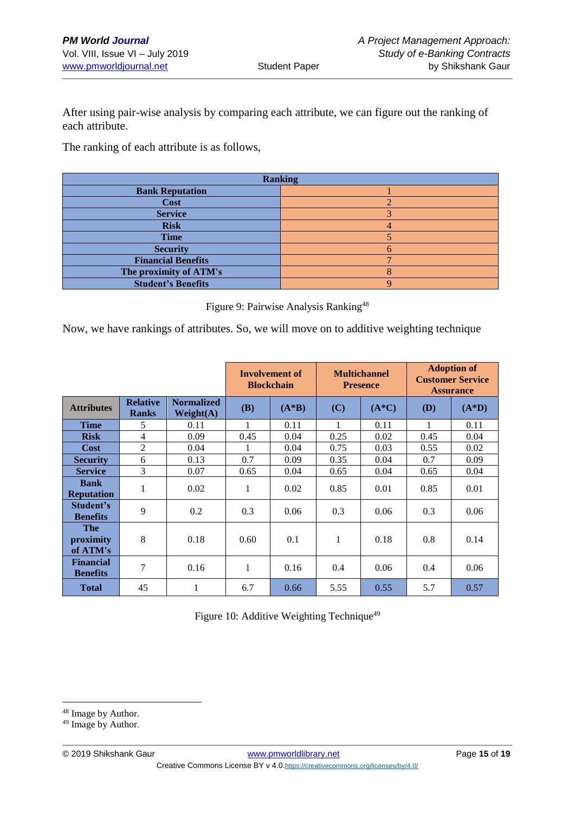After using pair-wise analysis by comparing each attribute, we can figure out the ranking of each attribute.

The ranking of each attribute is as follows,

| <b>Ranking</b>            |  |  |  |  |  |  |
|---------------------------|--|--|--|--|--|--|
| <b>Bank Reputation</b>    |  |  |  |  |  |  |
| Cost                      |  |  |  |  |  |  |
| <b>Service</b>            |  |  |  |  |  |  |
| <b>Risk</b>               |  |  |  |  |  |  |
| <b>Time</b>               |  |  |  |  |  |  |
| <b>Security</b>           |  |  |  |  |  |  |
| <b>Financial Benefits</b> |  |  |  |  |  |  |
| The proximity of ATM's    |  |  |  |  |  |  |
| <b>Student's Benefits</b> |  |  |  |  |  |  |

Figure 9: Pairwise Analysis Ranking<sup>48</sup>

Now, we have rankings of attributes. So, we will move on to additive weighting technique

|                                     |                                 |                                | Involvement of<br><b>Blockchain</b> |         |      | <b>Multichannel</b><br><b>Presence</b> | <b>Adoption of</b><br><b>Customer Service</b><br><b>Assurance</b> |         |
|-------------------------------------|---------------------------------|--------------------------------|-------------------------------------|---------|------|----------------------------------------|-------------------------------------------------------------------|---------|
| <b>Attributes</b>                   | <b>Relative</b><br><b>Ranks</b> | <b>Normalized</b><br>Weight(A) | (B)                                 | $(A*B)$ | (C)  | $(A*C)$                                | <b>(D)</b>                                                        | $(A*D)$ |
| <b>Time</b>                         | 5                               | 0.11                           | 1                                   | 0.11    | 1    | 0.11                                   | 1                                                                 | 0.11    |
| <b>Risk</b>                         | 4                               | 0.09                           | 0.45                                | 0.04    | 0.25 | 0.02                                   | 0.45                                                              | 0.04    |
| Cost                                | $\overline{2}$                  | 0.04                           |                                     | 0.04    | 0.75 | 0.03                                   | 0.55                                                              | 0.02    |
| <b>Security</b>                     | 6                               | 0.13                           | 0.7                                 | 0.09    | 0.35 | 0.04                                   | 0.7                                                               | 0.09    |
| <b>Service</b>                      | 3                               | 0.07                           | 0.65                                | 0.04    | 0.65 | 0.04                                   | 0.65                                                              | 0.04    |
| <b>Bank</b><br><b>Reputation</b>    | 1                               | 0.02                           | 1                                   | 0.02    | 0.85 | 0.01                                   | 0.85                                                              | 0.01    |
| Student's<br><b>Benefits</b>        | 9                               | 0.2                            | 0.3                                 | 0.06    | 0.3  | 0.06                                   | 0.3                                                               | 0.06    |
| <b>The</b><br>proximity<br>of ATM's | 8                               | 0.18                           | 0.60                                | 0.1     | 1    | 0.18                                   | 0.8                                                               | 0.14    |
| <b>Financial</b><br><b>Benefits</b> | $\overline{7}$                  | 0.16                           | 1                                   | 0.16    | 0.4  | 0.06                                   | 0.4                                                               | 0.06    |
| <b>Total</b>                        | 45                              | $\mathbf{1}$                   | 6.7                                 | 0.66    | 5.55 | 0.55                                   | 5.7                                                               | 0.57    |

Figure 10: Additive Weighting Technique<sup>49</sup>

<sup>48</sup> Image by Author.

<sup>&</sup>lt;sup>49</sup> Image by Author.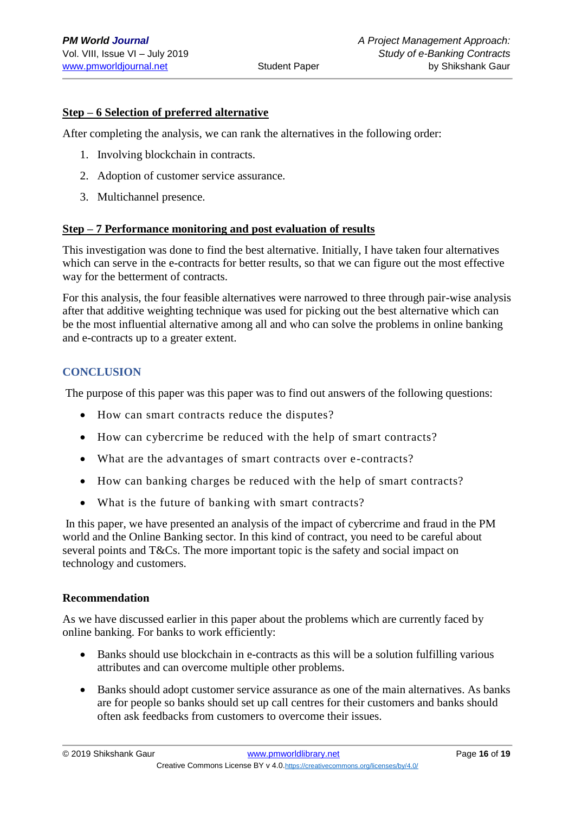## **Step – 6 Selection of preferred alternative**

After completing the analysis, we can rank the alternatives in the following order:

- 1. Involving blockchain in contracts.
- 2. Adoption of customer service assurance.
- 3. Multichannel presence.

#### **Step – 7 Performance monitoring and post evaluation of results**

This investigation was done to find the best alternative. Initially, I have taken four alternatives which can serve in the e-contracts for better results, so that we can figure out the most effective way for the betterment of contracts.

For this analysis, the four feasible alternatives were narrowed to three through pair-wise analysis after that additive weighting technique was used for picking out the best alternative which can be the most influential alternative among all and who can solve the problems in online banking and e-contracts up to a greater extent.

## **CONCLUSION**

The purpose of this paper was this paper was to find out answers of the following questions:

- How can smart contracts reduce the disputes?
- How can cybercrime be reduced with the help of smart contracts?
- What are the advantages of smart contracts over e-contracts?
- How can banking charges be reduced with the help of smart contracts?
- What is the future of banking with smart contracts?

In this paper, we have presented an analysis of the impact of cybercrime and fraud in the PM world and the Online Banking sector. In this kind of contract, you need to be careful about several points and T&Cs. The more important topic is the safety and social impact on technology and customers.

#### **Recommendation**

As we have discussed earlier in this paper about the problems which are currently faced by online banking. For banks to work efficiently:

- Banks should use blockchain in e-contracts as this will be a solution fulfilling various attributes and can overcome multiple other problems.
- Banks should adopt customer service assurance as one of the main alternatives. As banks are for people so banks should set up call centres for their customers and banks should often ask feedbacks from customers to overcome their issues.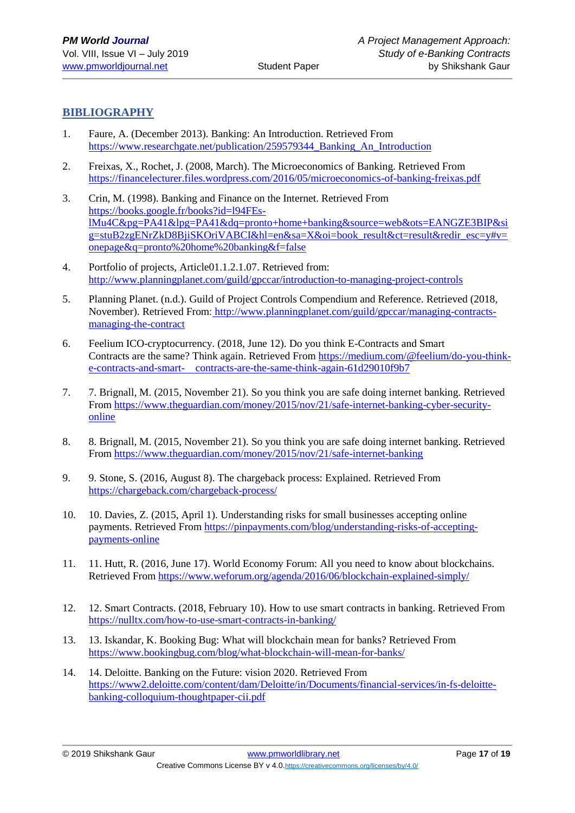## **BIBLIOGRAPHY**

- 1. Faure, A. (December 2013). Banking: An Introduction. Retrieved From [https://www.researchgate.net/publication/259579344\\_Banking\\_An\\_Introduction](https://www.researchgate.net/publication/259579344_Banking_An_Introduction)
- 2. Freixas, X., Rochet, J. (2008, March). The Microeconomics of Banking. Retrieved From <https://financelecturer.files.wordpress.com/2016/05/microeconomics-of-banking-freixas.pdf>
- 3. Crin, M. (1998). Banking and Finance on the Internet. Retrieved From [https://books.google.fr/books?id=l94FEs](https://books.google.fr/books?id=l94FEs-lMu4C&pg=PA41&lpg=PA41&dq=pronto+home+banking&source=web&ots=EANGZE3BIP&sig=stuB2zgENrZkD8BjiSKOriVABCI&hl=en&sa=X&oi=book_result&ct=result&redir_esc=y#v=onepage&q=pronto%20home%20banking&f=false)[lMu4C&pg=PA41&lpg=PA41&dq=pronto+home+banking&source=web&ots=EANGZE3BIP&si](https://books.google.fr/books?id=l94FEs-lMu4C&pg=PA41&lpg=PA41&dq=pronto+home+banking&source=web&ots=EANGZE3BIP&sig=stuB2zgENrZkD8BjiSKOriVABCI&hl=en&sa=X&oi=book_result&ct=result&redir_esc=y#v=onepage&q=pronto%20home%20banking&f=false) [g=stuB2zgENrZkD8BjiSKOriVABCI&hl=en&sa=X&oi=book\\_result&ct=result&redir\\_esc=y#v=](https://books.google.fr/books?id=l94FEs-lMu4C&pg=PA41&lpg=PA41&dq=pronto+home+banking&source=web&ots=EANGZE3BIP&sig=stuB2zgENrZkD8BjiSKOriVABCI&hl=en&sa=X&oi=book_result&ct=result&redir_esc=y#v=onepage&q=pronto%20home%20banking&f=false) [onepage&q=pronto%20home%20banking&f=false](https://books.google.fr/books?id=l94FEs-lMu4C&pg=PA41&lpg=PA41&dq=pronto+home+banking&source=web&ots=EANGZE3BIP&sig=stuB2zgENrZkD8BjiSKOriVABCI&hl=en&sa=X&oi=book_result&ct=result&redir_esc=y#v=onepage&q=pronto%20home%20banking&f=false)
- 4. Portfolio of projects, Article01.1.2.1.07. Retrieved from: <http://www.planningplanet.com/guild/gpccar/introduction-to-managing-project-controls>
- 5. Planning Planet. (n.d.). Guild of Project Controls Compendium and Reference. Retrieved (2018, November). Retrieved From: [http://www.planningplanet.com/guild/gpccar/managing-contracts](http://www.planningplanet.com/guild/gpccar/managing-contracts-managing-the-contract)[managing-the-contract](http://www.planningplanet.com/guild/gpccar/managing-contracts-managing-the-contract)
- 6. Feelium ICO-cryptocurrency. (2018, June 12). Do you think E-Contracts and Smart Contracts are the same? Think again. Retrieved From [https://medium.com/@feelium/do-you-think](https://medium.com/@feelium/do-you-think-e-contracts-and-smart-%20%20%20%20contracts-are-the-same-think-again-61d29010f9b7)[e-contracts-and-smart- contracts-are-the-same-think-again-61d29010f9b7](https://medium.com/@feelium/do-you-think-e-contracts-and-smart-%20%20%20%20contracts-are-the-same-think-again-61d29010f9b7)
- 7. 7. Brignall, M. (2015, November 21). So you think you are safe doing internet banking. Retrieved From [https://www.theguardian.com/money/2015/nov/21/safe-internet-banking-cyber-security](https://www.theguardian.com/money/2015/nov/21/safe-internet-banking-cyber-security-online)[online](https://www.theguardian.com/money/2015/nov/21/safe-internet-banking-cyber-security-online)
- 8. 8. Brignall, M. (2015, November 21). So you think you are safe doing internet banking. Retrieved From [https://www.theguardian.com/money/2015/nov/21/safe-internet-banking](https://www.theguardian.com/money/2015/nov/21/safe-internet-banking-cyber-security-online)
- 9. 9. Stone, S. (2016, August 8). The chargeback process: Explained. Retrieved From <https://chargeback.com/chargeback-process/>
- 10. 10. Davies, Z. (2015, April 1). Understanding risks for small businesses accepting online payments. Retrieved From [https://pinpayments.com/blog/understanding-risks-of-accepting](https://pinpayments.com/blog/understanding-risks-of-accepting-payments-online)[payments-online](https://pinpayments.com/blog/understanding-risks-of-accepting-payments-online)
- 11. 11. Hutt, R. (2016, June 17). World Economy Forum: All you need to know about blockchains. Retrieved From<https://www.weforum.org/agenda/2016/06/blockchain-explained-simply/>
- 12. 12. Smart Contracts. (2018, February 10). How to use smart contracts in banking. Retrieved From <https://nulltx.com/how-to-use-smart-contracts-in-banking/>
- 13. 13. Iskandar, K. Booking Bug: What will blockchain mean for banks? Retrieved From <https://www.bookingbug.com/blog/what-blockchain-will-mean-for-banks/>
- 14. 14. Deloitte. Banking on the Future: vision 2020. Retrieved From [https://www2.deloitte.com/content/dam/Deloitte/in/Documents/financial-services/in-fs-deloitte](https://www2.deloitte.com/content/dam/Deloitte/in/Documents/financial-services/in-fs-deloitte-banking-colloquium-thoughtpaper-cii.pdf)[banking-colloquium-thoughtpaper-cii.pdf](https://www2.deloitte.com/content/dam/Deloitte/in/Documents/financial-services/in-fs-deloitte-banking-colloquium-thoughtpaper-cii.pdf)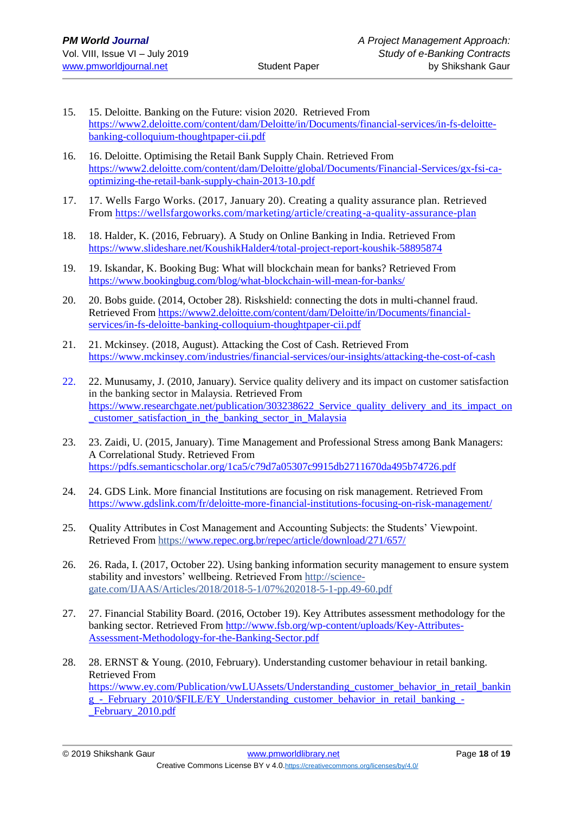- 15. 15. Deloitte. Banking on the Future: vision 2020. Retrieved From [https://www2.deloitte.com/content/dam/Deloitte/in/Documents/financial-services/in-fs-deloitte](https://www2.deloitte.com/content/dam/Deloitte/in/Documents/financial-services/in-fs-deloitte-banking-colloquium-thoughtpaper-cii.pdf)[banking-colloquium-thoughtpaper-cii.pdf](https://www2.deloitte.com/content/dam/Deloitte/in/Documents/financial-services/in-fs-deloitte-banking-colloquium-thoughtpaper-cii.pdf)
- 16. 16. Deloitte. Optimising the Retail Bank Supply Chain. Retrieved From [https://www2.deloitte.com/content/dam/Deloitte/global/Documents/Financial-Services/gx-fsi-ca](https://www2.deloitte.com/content/dam/Deloitte/global/Documents/Financial-Services/gx-fsi-ca-optimizing-the-retail-bank-supply-chain-2013-10.pdf)[optimizing-the-retail-bank-supply-chain-2013-10.pdf](https://www2.deloitte.com/content/dam/Deloitte/global/Documents/Financial-Services/gx-fsi-ca-optimizing-the-retail-bank-supply-chain-2013-10.pdf)
- 17. 17. Wells Fargo Works. (2017, January 20). Creating a quality assurance plan. Retrieved From<https://wellsfargoworks.com/marketing/article/creating-a-quality-assurance-plan>
- 18. 18. Halder, K. (2016, February). A Study on Online Banking in India. Retrieved From <https://www.slideshare.net/KoushikHalder4/total-project-report-koushik-58895874>
- 19. 19. Iskandar, K. Booking Bug: What will blockchain mean for banks? Retrieved From <https://www.bookingbug.com/blog/what-blockchain-will-mean-for-banks/>
- 20. 20. Bobs guide. (2014, October 28). Riskshield: connecting the dots in multi-channel fraud. Retrieved From [https://www2.deloitte.com/content/dam/Deloitte/in/Documents/financial](https://www2.deloitte.com/content/dam/Deloitte/in/Documents/financial-services/in-fs-deloitte-banking-colloquium-thoughtpaper-cii.pdf)[services/in-fs-deloitte-banking-colloquium-thoughtpaper-cii.pdf](https://www2.deloitte.com/content/dam/Deloitte/in/Documents/financial-services/in-fs-deloitte-banking-colloquium-thoughtpaper-cii.pdf)
- 21. 21. Mckinsey. (2018, August). Attacking the Cost of Cash. Retrieved From <https://www.mckinsey.com/industries/financial-services/our-insights/attacking-the-cost-of-cash>
- 22. 22. Munusamy, J. (2010, January). Service quality delivery and its impact on customer satisfaction in the banking sector in Malaysia. Retrieved From https://www.researchgate.net/publication/303238622 Service quality delivery and its impact on [\\_customer\\_satisfaction\\_in\\_the\\_banking\\_sector\\_in\\_Malaysia](https://www.researchgate.net/publication/303238622_Service_quality_delivery_and_its_impact_on_customer_satisfaction_in_the_banking_sector_in_Malaysia)
- 23. 23. Zaidi, U. (2015, January). Time Management and Professional Stress among Bank Managers: A Correlational Study. Retrieved From <https://pdfs.semanticscholar.org/1ca5/c79d7a05307c9915db2711670da495b74726.pdf>
- 24. 24. GDS Link. More financial Institutions are focusing on risk management. Retrieved From <https://www.gdslink.com/fr/deloitte-more-financial-institutions-focusing-on-risk-management/>
- 25. Quality Attributes in Cost Management and Accounting Subjects: the Students' Viewpoint. Retrieved From https:/[/www.repec.org.br/repec/article/download/271/657/](http://www.repec.org.br/repec/article/download/271/657/)
- 26. 26. Rada, I. (2017, October 22). Using banking information security management to ensure system stability and investors' wellbeing. Retrieved From http://sciencegate.com/IJAAS/Articles/2018/2018-5-1/07%202018-5-1-pp.49-60.pdf
- 27. 27. Financial Stability Board. (2016, October 19). Key Attributes assessment methodology for the banking sector. Retrieved From [http://www.fsb.org/wp-content/uploads/Key-Attributes-](http://www.fsb.org/wp-content/uploads/Key-Attributes-Assessment-Methodology-for-the-Banking-Sector.pdf)[Assessment-Methodology-for-the-Banking-Sector.pdf](http://www.fsb.org/wp-content/uploads/Key-Attributes-Assessment-Methodology-for-the-Banking-Sector.pdf)
- 28. 28. ERNST & Young. (2010, February). Understanding customer behaviour in retail banking. Retrieved From [https://www.ey.com/Publication/vwLUAssets/Understanding\\_customer\\_behavior\\_in\\_retail\\_bankin](https://www.ey.com/Publication/vwLUAssets/Understanding_customer_behavior_in_retail_banking_-_February_2010/$FILE/EY_Understanding_customer_behavior_in_retail_banking_-_February_2010.pdf) [g\\_-\\_February\\_2010/\\$FILE/EY\\_Understanding\\_customer\\_behavior\\_in\\_retail\\_banking\\_-](https://www.ey.com/Publication/vwLUAssets/Understanding_customer_behavior_in_retail_banking_-_February_2010/$FILE/EY_Understanding_customer_behavior_in_retail_banking_-_February_2010.pdf) [\\_February\\_2010.pdf](https://www.ey.com/Publication/vwLUAssets/Understanding_customer_behavior_in_retail_banking_-_February_2010/$FILE/EY_Understanding_customer_behavior_in_retail_banking_-_February_2010.pdf)